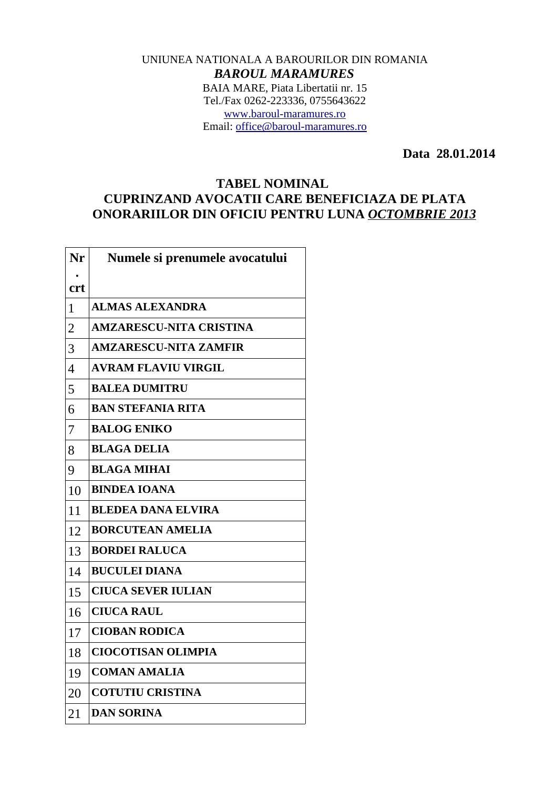## UNIUNEA NATIONALA A BAROURILOR DIN ROMANIA *BAROUL MARAMURES* BAIA MARE, Piata Libertatii nr. 15 Tel./Fax 0262-223336, 0755643622 [www.baroul-maramures.ro](http://www.baroul-maramures.ro/) Email: [office@baroul-maramures.ro](mailto:office@baroul-maramures.ro)

 **Data 28.01.2014**

## **TABEL NOMINAL CUPRINZAND AVOCATII CARE BENEFICIAZA DE PLATA ONORARIILOR DIN OFICIU PENTRU LUNA** *OCTOMBRIE 2013*

| Nr             | Numele si prenumele avocatului |
|----------------|--------------------------------|
| <b>crt</b>     |                                |
| $\mathbf{1}$   | <b>ALMAS ALEXANDRA</b>         |
| $\overline{2}$ | <b>AMZARESCU-NITA CRISTINA</b> |
| 3              | <b>AMZARESCU-NITA ZAMFIR</b>   |
| $\overline{4}$ | <b>AVRAM FLAVIU VIRGIL</b>     |
| 5              | <b>BALEA DUMITRU</b>           |
| 6              | <b>BAN STEFANIA RITA</b>       |
| 7              | <b>BALOG ENIKO</b>             |
| 8              | <b>BLAGA DELIA</b>             |
| 9              | <b>BLAGA MIHAI</b>             |
| 1 <sub>0</sub> | <b>BINDEA IOANA</b>            |
| 11             | <b>BLEDEA DANA ELVIRA</b>      |
| 12             | <b>BORCUTEAN AMELIA</b>        |
| 13             | <b>BORDEI RALUCA</b>           |
| 14             | <b>BUCULEI DIANA</b>           |
| 15             | <b>CIUCA SEVER IULIAN</b>      |
| 16             | <b>CIUCA RAUL</b>              |
| 17             | <b>CIOBAN RODICA</b>           |
| 18             | <b>CIOCOTISAN OLIMPIA</b>      |
| 19             | <b>COMAN AMALIA</b>            |
| 20             | <b>COTUTIU CRISTINA</b>        |
| 21             | <b>DAN SORINA</b>              |

 $\Gamma$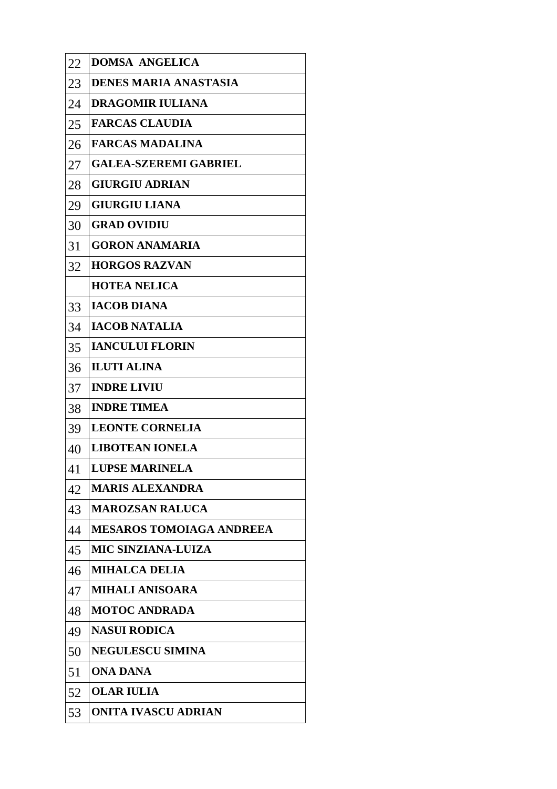| 22 | <b>DOMSA ANGELICA</b>           |
|----|---------------------------------|
| 23 | <b>DENES MARIA ANASTASIA</b>    |
| 24 | <b>DRAGOMIR IULIANA</b>         |
| 25 | <b>FARCAS CLAUDIA</b>           |
| 26 | <b>FARCAS MADALINA</b>          |
| 27 | <b>GALEA-SZEREMI GABRIEL</b>    |
| 28 | <b>GIURGIU ADRIAN</b>           |
| 29 | <b>GIURGIU LIANA</b>            |
| 30 | <b>GRAD OVIDIU</b>              |
| 31 | <b>GORON ANAMARIA</b>           |
| 32 | <b>HORGOS RAZVAN</b>            |
|    | <b>HOTEA NELICA</b>             |
| 33 | <b>IACOB DIANA</b>              |
| 34 | <b>IACOB NATALIA</b>            |
| 35 | <b>IANCULUI FLORIN</b>          |
| 36 | <b>ILUTI ALINA</b>              |
| 37 | <b>INDRE LIVIU</b>              |
| 38 | <b>INDRE TIMEA</b>              |
| 39 | <b>LEONTE CORNELIA</b>          |
| 40 | <b>LIBOTEAN IONELA</b>          |
| 41 | <b>LUPSE MARINELA</b>           |
| 42 | <b>MARIS ALEXANDRA</b>          |
| 43 | <b>MAROZSAN RALUCA</b>          |
| 44 | <b>MESAROS TOMOIAGA ANDREEA</b> |
| 45 | <b>MIC SINZIANA-LUIZA</b>       |
| 46 | <b>MIHALCA DELIA</b>            |
| 47 | <b>MIHALI ANISOARA</b>          |
| 48 | <b>MOTOC ANDRADA</b>            |
| 49 | <b>NASUI RODICA</b>             |
| 50 | <b>NEGULESCU SIMINA</b>         |
| 51 | ONA DANA                        |
| 52 | <b>OLAR IULIA</b>               |
| 53 | <b>ONITA IVASCU ADRIAN</b>      |